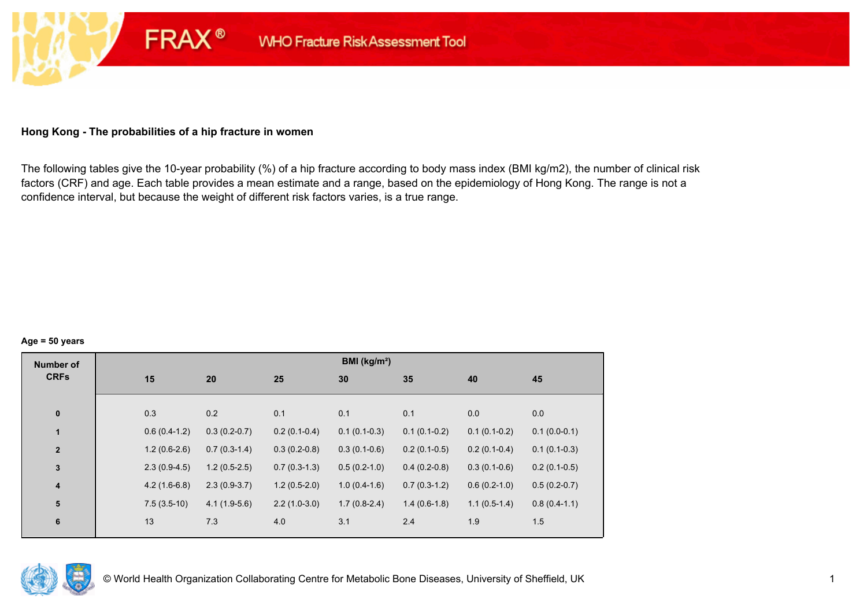## **Hong Kong - The probabilities of a hip fracture in women**

**FRAX®** 

The following tables give the 10-year probability (%) of a hip fracture according to body mass index (BMI kg/m2), the number of clinical risk factors (CRF) and age. Each table provides a mean estimate and a range, based on the epidemiology of Hong Kong. The range is not a confidence interval, but because the weight of different risk factors varies, is a true range.

#### **Age = 50 years**

| <b>Number of</b> |                |                |                | BMI (kg/m <sup>2</sup> ) |                |                |                |
|------------------|----------------|----------------|----------------|--------------------------|----------------|----------------|----------------|
| <b>CRFs</b>      | 15             | 20             | 25             | 30                       | 35             | 40             | 45             |
|                  |                |                |                |                          |                |                |                |
| $\pmb{0}$        | 0.3            | 0.2            | 0.1            | 0.1                      | 0.1            | 0.0            | 0.0            |
| $\mathbf{1}$     | $0.6(0.4-1.2)$ | $0.3(0.2-0.7)$ | $0.2(0.1-0.4)$ | $0.1(0.1-0.3)$           | $0.1(0.1-0.2)$ | $0.1(0.1-0.2)$ | $0.1(0.0-0.1)$ |
| $\mathbf{2}$     | $1.2(0.6-2.6)$ | $0.7(0.3-1.4)$ | $0.3(0.2-0.8)$ | $0.3(0.1-0.6)$           | $0.2(0.1-0.5)$ | $0.2(0.1-0.4)$ | $0.1(0.1-0.3)$ |
| $\mathbf{3}$     | $2.3(0.9-4.5)$ | $1.2(0.5-2.5)$ | $0.7(0.3-1.3)$ | $0.5(0.2-1.0)$           | $0.4(0.2-0.8)$ | $0.3(0.1-0.6)$ | $0.2(0.1-0.5)$ |
| 4                | $4.2(1.6-6.8)$ | $2.3(0.9-3.7)$ | $1.2(0.5-2.0)$ | $1.0(0.4-1.6)$           | $0.7(0.3-1.2)$ | $0.6(0.2-1.0)$ | $0.5(0.2-0.7)$ |
| 5                | $7.5(3.5-10)$  | $4.1(1.9-5.6)$ | $2.2(1.0-3.0)$ | $1.7(0.8-2.4)$           | $1.4(0.6-1.8)$ | $1.1(0.5-1.4)$ | $0.8(0.4-1.1)$ |
| $6\phantom{1}6$  | 13             | 7.3            | 4.0            | 3.1                      | 2.4            | 1.9            | 1.5            |
|                  |                |                |                |                          |                |                |                |

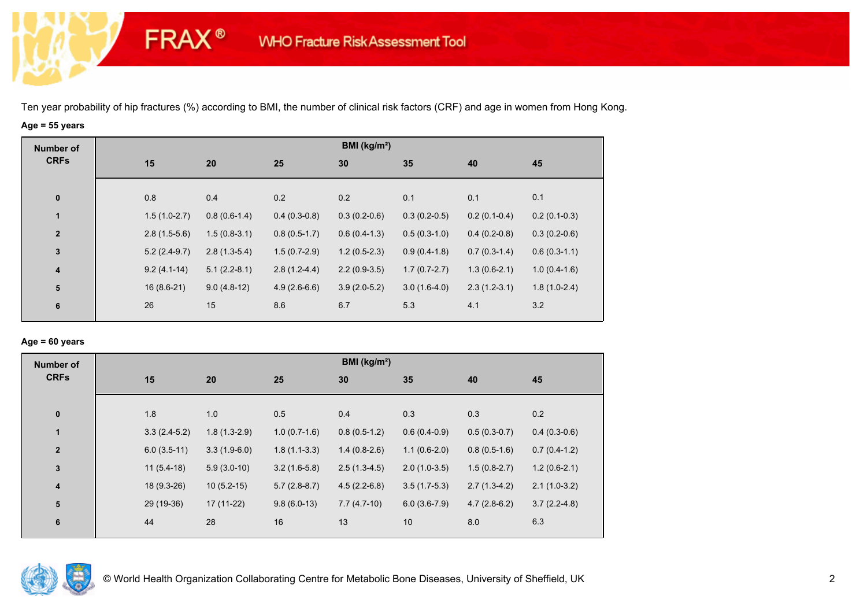# **Age = 55 years**

**FRAX®** 

| <b>Number of</b>        |     |                                  |                | BMI ( $kg/m2$ ) |                |                |                |
|-------------------------|-----|----------------------------------|----------------|-----------------|----------------|----------------|----------------|
| <b>CRFs</b>             | 15  | 20                               | 25             | 30              | 35             | 40             | 45             |
|                         |     |                                  |                |                 |                |                |                |
| $\bf{0}$                | 0.8 | 0.4                              | 0.2            | 0.2             | 0.1            | 0.1            | 0.1            |
| $\mathbf{1}$            |     | $0.8(0.6-1.4)$<br>$1.5(1.0-2.7)$ | $0.4(0.3-0.8)$ | $0.3(0.2-0.6)$  | $0.3(0.2-0.5)$ | $0.2(0.1-0.4)$ | $0.2(0.1-0.3)$ |
| $\mathbf{2}$            |     | $1.5(0.8-3.1)$<br>$2.8(1.5-5.6)$ | $0.8(0.5-1.7)$ | $0.6(0.4-1.3)$  | $0.5(0.3-1.0)$ | $0.4(0.2-0.8)$ | $0.3(0.2-0.6)$ |
| $\mathbf 3$             |     | $2.8(1.3-5.4)$<br>$5.2(2.4-9.7)$ | $1.5(0.7-2.9)$ | $1.2(0.5-2.3)$  | $0.9(0.4-1.8)$ | $0.7(0.3-1.4)$ | $0.6(0.3-1.1)$ |
| $\overline{\mathbf{4}}$ |     | $5.1(2.2-8.1)$<br>$9.2(4.1-14)$  | $2.8(1.2-4.4)$ | $2.2(0.9-3.5)$  | $1.7(0.7-2.7)$ | $1.3(0.6-2.1)$ | $1.0(0.4-1.6)$ |
| ${\bf 5}$               |     | $16(8.6-21)$<br>$9.0(4.8-12)$    | $4.9(2.6-6.6)$ | $3.9(2.0-5.2)$  | $3.0(1.6-4.0)$ | $2.3(1.2-3.1)$ | $1.8(1.0-2.4)$ |
| 6                       | 26  | 15                               | 8.6            | 6.7             | 5.3            | 4.1            | 3.2            |

### **Age = 60 years**

| <b>Number of</b> |     |                                  |                |                | BMI (kg/m <sup>2</sup> ) |                |                |
|------------------|-----|----------------------------------|----------------|----------------|--------------------------|----------------|----------------|
| <b>CRFs</b>      | 15  | 20                               | 25             | 30             | 35                       | 40             | 45             |
| $\pmb{0}$        | 1.8 | 1.0                              | 0.5            | 0.4            | 0.3                      | 0.3            | 0.2            |
| $\mathbf{1}$     |     | $1.8(1.3-2.9)$<br>$3.3(2.4-5.2)$ | $1.0(0.7-1.6)$ | $0.8(0.5-1.2)$ | $0.6(0.4-0.9)$           | $0.5(0.3-0.7)$ | $0.4(0.3-0.6)$ |
| $\overline{2}$   |     | $6.0(3.5-11)$<br>$3.3(1.9-6.0)$  | $1.8(1.1-3.3)$ | $1.4(0.8-2.6)$ | $1.1(0.6-2.0)$           | $0.8(0.5-1.6)$ | $0.7(0.4-1.2)$ |
| 3                |     | $11(5.4-18)$<br>$5.9(3.0-10)$    | $3.2(1.6-5.8)$ | $2.5(1.3-4.5)$ | $2.0(1.0-3.5)$           | $1.5(0.8-2.7)$ | $1.2(0.6-2.1)$ |
| 4                |     | $18(9.3-26)$<br>$10(5.2-15)$     | $5.7(2.8-8.7)$ | $4.5(2.2-6.8)$ | $3.5(1.7-5.3)$           | $2.7(1.3-4.2)$ | $2.1(1.0-3.2)$ |
| 5                |     | 29 (19-36)<br>$17(11-22)$        | $9.8(6.0-13)$  | $7.7(4.7-10)$  | $6.0(3.6-7.9)$           | $4.7(2.8-6.2)$ | $3.7(2.2-4.8)$ |
| $\boldsymbol{6}$ | 44  | 28                               | 16             | 13             | 10                       | 8.0            | 6.3            |

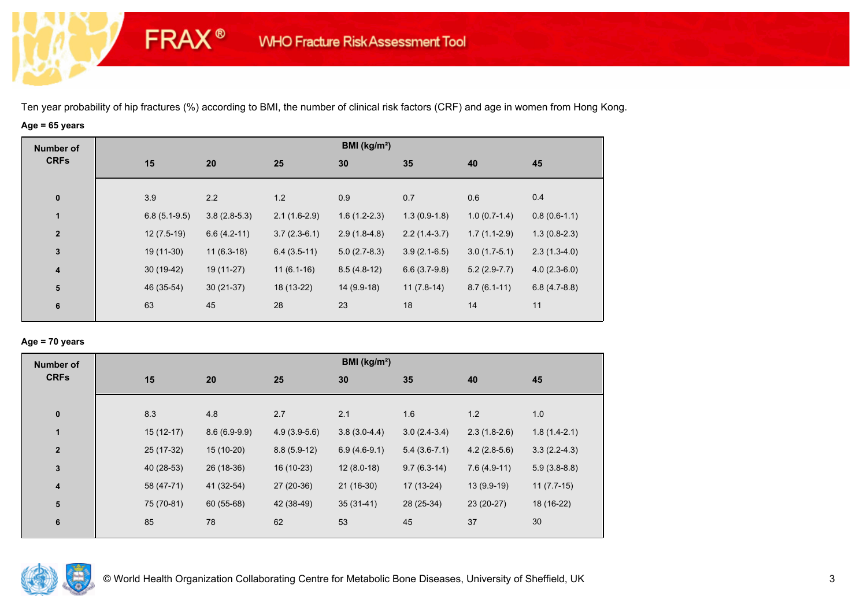# **Age = 65 years**

**FRAX®** 

| <b>Number of</b>        |                |                |                | BMI ( $kg/m2$ ) |                |                |                |
|-------------------------|----------------|----------------|----------------|-----------------|----------------|----------------|----------------|
| <b>CRFs</b>             | 15             | 20             | 25             | 30              | 35             | 40             | 45             |
|                         |                |                |                |                 |                |                |                |
| $\bf{0}$                | 3.9            | 2.2            | 1.2            | 0.9             | 0.7            | 0.6            | 0.4            |
| $\mathbf{1}$            | $6.8(5.1-9.5)$ | $3.8(2.8-5.3)$ | $2.1(1.6-2.9)$ | $1.6(1.2-2.3)$  | $1.3(0.9-1.8)$ | $1.0(0.7-1.4)$ | $0.8(0.6-1.1)$ |
| $\overline{2}$          | $12(7.5-19)$   | $6.6(4.2-11)$  | $3.7(2.3-6.1)$ | $2.9(1.8-4.8)$  | $2.2(1.4-3.7)$ | $1.7(1.1-2.9)$ | $1.3(0.8-2.3)$ |
| $\mathbf{3}$            | 19 (11-30)     | $11(6.3-18)$   | $6.4(3.5-11)$  | $5.0(2.7-8.3)$  | $3.9(2.1-6.5)$ | $3.0(1.7-5.1)$ | $2.3(1.3-4.0)$ |
| $\overline{\mathbf{4}}$ | $30(19-42)$    | 19 (11-27)     | $11(6.1-16)$   | $8.5(4.8-12)$   | $6.6(3.7-9.8)$ | $5.2(2.9-7.7)$ | $4.0(2.3-6.0)$ |
| ${\bf 5}$               | 46 (35-54)     | $30(21-37)$    | 18 (13-22)     | $14(9.9-18)$    | $11(7.8-14)$   | $8.7(6.1-11)$  | $6.8(4.7-8.8)$ |
| 6                       | 63             | 45             | 28             | 23              | 18             | 14             | 11             |
|                         |                |                |                |                 |                |                |                |

### **Age = 70 years**

| <b>Number of</b> |             |                |                | BMI ( $kg/m2$ ) |                |                |                |
|------------------|-------------|----------------|----------------|-----------------|----------------|----------------|----------------|
| <b>CRFs</b>      | 15          | 20             | 25             | 30              | 35             | 40             | 45             |
|                  |             |                |                |                 |                |                |                |
| $\bf{0}$         | 8.3         | 4.8            | 2.7            | 2.1             | 1.6            | 1.2            | 1.0            |
| $\mathbf{1}$     | $15(12-17)$ | $8.6(6.9-9.9)$ | $4.9(3.9-5.6)$ | $3.8(3.0-4.4)$  | $3.0(2.4-3.4)$ | $2.3(1.8-2.6)$ | $1.8(1.4-2.1)$ |
| $\overline{2}$   | 25 (17-32)  | $15(10-20)$    | $8.8(5.9-12)$  | $6.9(4.6-9.1)$  | $5.4(3.6-7.1)$ | $4.2(2.8-5.6)$ | $3.3(2.2-4.3)$ |
| $\mathbf{3}$     | 40 (28-53)  | 26 (18-36)     | 16 (10-23)     | $12(8.0-18)$    | $9.7(6.3-14)$  | $7.6(4.9-11)$  | $5.9(3.8-8.8)$ |
| 4                | 58 (47-71)  | 41 (32-54)     | 27 (20-36)     | $21(16-30)$     | $17(13-24)$    | 13 (9.9-19)    | $11(7.7-15)$   |
| 5                | 75 (70-81)  | 60 (55-68)     | 42 (38-49)     | $35(31-41)$     | 28 (25-34)     | 23 (20-27)     | 18 (16-22)     |
| $6\phantom{1}6$  | 85          | 78             | 62             | 53              | 45             | 37             | 30             |
|                  |             |                |                |                 |                |                |                |

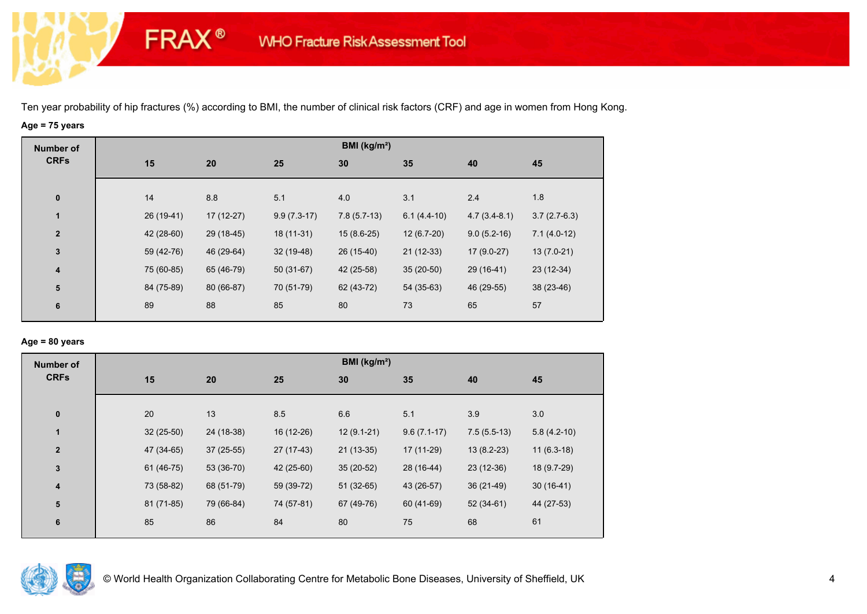# **Age = 75 years**

**FRAX®** 

| <b>Number of</b>        |             |             |               | BMI (kg/m <sup>2</sup> ) |               |                |                |
|-------------------------|-------------|-------------|---------------|--------------------------|---------------|----------------|----------------|
| <b>CRFs</b>             | 15          | 20          | 25            | 30                       | 35            | 40             | 45             |
|                         |             |             |               |                          |               |                |                |
| $\bf{0}$                | 14          | 8.8         | 5.1           | 4.0                      | 3.1           | 2.4            | 1.8            |
| 1                       | $26(19-41)$ | $17(12-27)$ | $9.9(7.3-17)$ | $7.8(5.7-13)$            | $6.1(4.4-10)$ | $4.7(3.4-8.1)$ | $3.7(2.7-6.3)$ |
| $\overline{\mathbf{2}}$ | 42 (28-60)  | 29 (18-45)  | $18(11-31)$   | $15(8.6-25)$             | $12(6.7-20)$  | $9.0(5.2-16)$  | $7.1(4.0-12)$  |
| $\mathbf{3}$            | 59 (42-76)  | 46 (29-64)  | $32(19-48)$   | 26 (15-40)               | $21(12-33)$   | $17(9.0-27)$   | $13(7.0-21)$   |
| $\overline{\mathbf{4}}$ | 75 (60-85)  | 65 (46-79)  | $50(31-67)$   | 42 (25-58)               | $35(20-50)$   | 29 (16-41)     | $23(12-34)$    |
| 5                       | 84 (75-89)  | 80 (66-87)  | 70 (51-79)    | 62 (43-72)               | 54 (35-63)    | 46 (29-55)     | 38 (23-46)     |
| 6                       | 89          | 88          | 85            | 80                       | 73            | 65             | 57             |
|                         |             |             |               |                          |               |                |                |

### **Age = 80 years**

| <b>Number of</b> |             |             |            | BMI ( $kg/m2$ ) |               |               |               |
|------------------|-------------|-------------|------------|-----------------|---------------|---------------|---------------|
| <b>CRFs</b>      | 15          | 20          | 25         | 30              | 35            | 40            | 45            |
| $\pmb{0}$        | 20          | 13          | 8.5        | 6.6             | 5.1           | 3.9           | 3.0           |
| $\mathbf{1}$     | $32(25-50)$ | 24 (18-38)  | 16 (12-26) | $12(9.1-21)$    | $9.6(7.1-17)$ | $7.5(5.5-13)$ | $5.8(4.2-10)$ |
| $\mathbf{2}$     | 47 (34-65)  | $37(25-55)$ | 27 (17-43) | $21(13-35)$     | 17 (11-29)    | $13(8.2-23)$  | $11(6.3-18)$  |
| 3                | 61 (46-75)  | 53 (36-70)  | 42 (25-60) | $35(20-52)$     | 28 (16-44)    | $23(12-36)$   | 18 (9.7-29)   |
| 4                | 73 (58-82)  | 68 (51-79)  | 59 (39-72) | $51(32-65)$     | 43 (26-57)    | $36(21-49)$   | $30(16-41)$   |
| ${\bf 5}$        | 81 (71-85)  | 79 (66-84)  | 74 (57-81) | 67 (49-76)      | 60 (41-69)    | $52(34-61)$   | 44 (27-53)    |
| 6                | 85          | 86          | 84         | 80              | 75            | 68            | 61            |